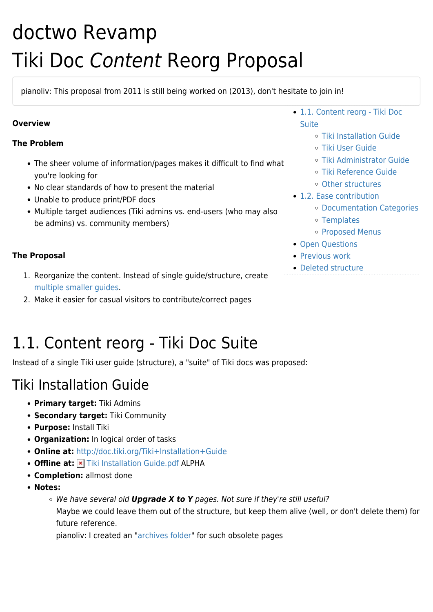# doctwo Revamp Tiki Doc Content Reorg Proposal

pianoliv: This proposal from 2011 is still being worked on (2013), don't hesitate to join in!

### **Overview**

#### **The Problem**

- The sheer volume of information/pages makes it difficult to find what you're looking for
- No clear standards of how to present the material
- Unable to produce print/PDF docs
- Multiple target audiences (Tiki admins vs. end-users (who may also be admins) vs. community members)
- [1.1. Content reorg Tiki Doc](#page--1-0) [Suite](#page--1-0)
	- [Tiki Installation Guide](#page--1-0)
	- [Tiki User Guide](#page--1-0)
	- [Tiki Administrator Guide](#page--1-0)
	- [Tiki Reference Guide](#page--1-0)
	- [Other structures](#page--1-0)
- [1.2. Ease contribution](#page--1-0)
	- [Documentation Categories](#page--1-0)
	- [Templates](#page--1-0)
	- o [Proposed Menus](#page--1-0)
- [Open Questions](#page--1-0)
- **[Previous work](#page--1-0)**
- [Deleted structure](#page--1-0)

### **The Proposal**

- 1. Reorganize the content. Instead of single guide/structure, create [multiple smaller guides](#page--1-0).
- 2. Make it easier for casual visitors to contribute/correct pages

# 1.1. Content reorg - Tiki Doc Suite

Instead of a single Tiki user guide (structure), a "suite" of Tiki docs was proposed:

### Tiki Installation Guide

- **Primary target:** Tiki Admins
- **Secondary target:** Tiki Community
- **Purpose:** Install Tiki
- **Organization:** In logical order of tasks
- **Online at:** <http://doc.tiki.org/Tiki+Installation+Guide>
- Offline at: **X** [Tiki Installation Guide.pdf](http://doc.tiki.org/dl538) ALPHA
- **Completion:** allmost done
- **Notes:**
	- We have several old *Upgrade X to Y* pages. Not sure if they're still useful? Maybe we could leave them out of the structure, but keep them alive (well, or don't delete them) for future reference.

pianoliv: I created an "[archives folder](https://tiki.org/Archives)" for such obsolete pages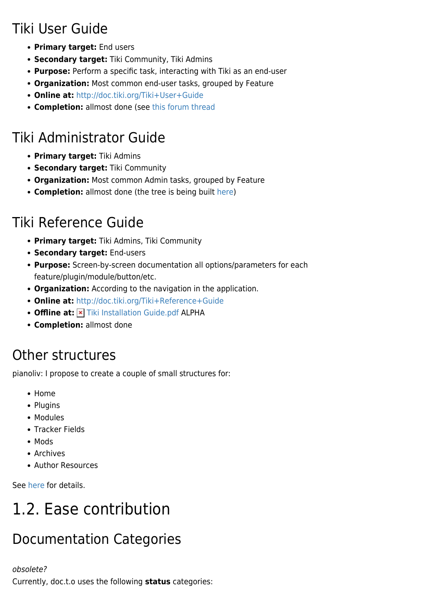# Tiki User Guide

- **Primary target:** End users
- **Secondary target:** Tiki Community, Tiki Admins
- **Purpose:** Perform a specific task, interacting with Tiki as an end-user
- **Organization:** Most common end-user tasks, grouped by Feature
- **Online at:** <http://doc.tiki.org/Tiki+User+Guide>
- **Completion:** allmost done (see [this forum thread](https://tiki.org/tiki-view_forum_thread.php?comments_parentId=47575&topics_offset=3)

# Tiki Administrator Guide

- **Primary target:** Tiki Admins
- **Secondary target:** Tiki Community
- **Organization:** Most common Admin tasks, grouped by Feature
- **Completion:** allmost done (the tree is being built [here](http://doc.tiki.org/doctoc))

# Tiki Reference Guide

- **Primary target:** Tiki Admins, Tiki Community
- **Secondary target:** End-users
- **Purpose:** Screen-by-screen documentation all options/parameters for each feature/plugin/module/button/etc.
- **Organization:** According to the navigation in the application.
- **Online at:** <http://doc.tiki.org/Tiki+Reference+Guide>
- Offline at: **x** [Tiki Installation Guide.pdf](http://doc.tiki.org/dl539) ALPHA
- **Completion:** allmost done

## Other structures

pianoliv: I propose to create a couple of small structures for:

- Home
- Plugins
- Modules
- Tracker Fields
- Mods
- Archives
- Author Resources

See [here](http://doc.tiki.org/doctoc) for details.

# 1.2. Ease contribution

# Documentation Categories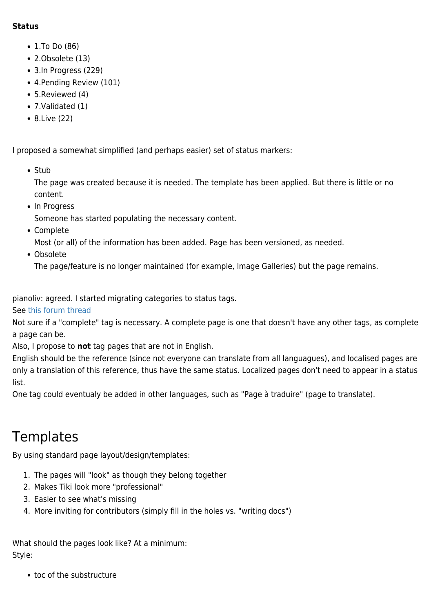#### **Status**

- 1.To Do (86)
- 2.Obsolete (13)
- 3.In Progress (229)
- 4.Pending Review (101)
- 5.Reviewed (4)
- 7.Validated (1)
- 8.Live (22)

I proposed a somewhat simplified (and perhaps easier) set of status markers:

• Stub

The page was created because it is needed. The template has been applied. But there is little or no content.

• In Progress

Someone has started populating the necessary content.

Complete

Most (or all) of the information has been added. Page has been versioned, as needed.

Obsolete

The page/feature is no longer maintained (for example, Image Galleries) but the page remains.

pianoliv: agreed. I started migrating categories to status tags.

See [this forum thread](https://tiki.org/tiki-view_forum_thread.php?comments_parentId=47742&topics_offset=1)

Not sure if a "complete" tag is necessary. A complete page is one that doesn't have any other tags, as complete a page can be.

Also, I propose to **not** tag pages that are not in English.

English should be the reference (since not everyone can translate from all languagues), and localised pages are only a translation of this reference, thus have the same status. Localized pages don't need to appear in a status list.

One tag could eventualy be added in other languages, such as "Page à traduire" (page to translate).

### **Templates**

By using standard page layout/design/templates:

- 1. The pages will "look" as though they belong together
- 2. Makes Tiki look more "professional"
- 3. Easier to see what's missing
- 4. More inviting for contributors (simply fill in the holes vs. "writing docs")

What should the pages look like? At a minimum: Style:

• toc of the substructure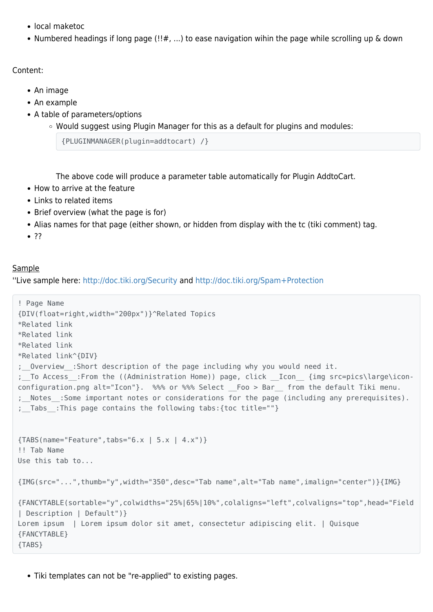- local maketoc
- Numbered headings if long page (!!#, ...) to ease navigation wihin the page while scrolling up & down

Content:

- An image
- An example
- A table of parameters/options
	- $\circ$  Would suggest using Plugin Manager for this as a default for plugins and modules:

{PLUGINMANAGER(plugin=addtocart) /}

The above code will produce a parameter table automatically for Plugin AddtoCart.

- How to arrive at the feature
- Links to related items
- Brief overview (what the page is for)
- Alias names for that page (either shown, or hidden from display with the tc (tiki comment) tag.
- $7?$

#### Sample

''Live sample here:<http://doc.tiki.org/Security>and <http://doc.tiki.org/Spam+Protection>

```
! Page Name
{DIV(float=right,width="200px")}^Related Topics
*Related link
*Related link
*Related link
*Related link^{DIV}
;__Overview__:Short description of the page including why you would need it.
; To Access : From the ((Administration Home)) page, click  Icon {img src=pics\large\icon-
configuration.png alt="Icon"}. %%% or %%% Select Foo > Bar from the default Tiki menu.
;__Notes__:Some important notes or considerations for the page (including any prerequisites).
; Tabs : This page contains the following tabs: {toc title=""}
{TABS(name="Feature",tabs="6.x | 5.x | 4.x")}
!! Tab Name
Use this tab to...
{IMG(src="...",thumb="y",width="350",desc="Tab name",alt="Tab name",imalign="center")}{IMG}
{FANCYTABLE(sortable="y",colwidths="25%|65%|10%",colaligns="left",colvaligns="top",head="Field
| Description | Default")}
Lorem ipsum | Lorem ipsum dolor sit amet, consectetur adipiscing elit. | Quisque
{FANCYTABLE}
{TABS}
```
Tiki templates can not be "re-applied" to existing pages.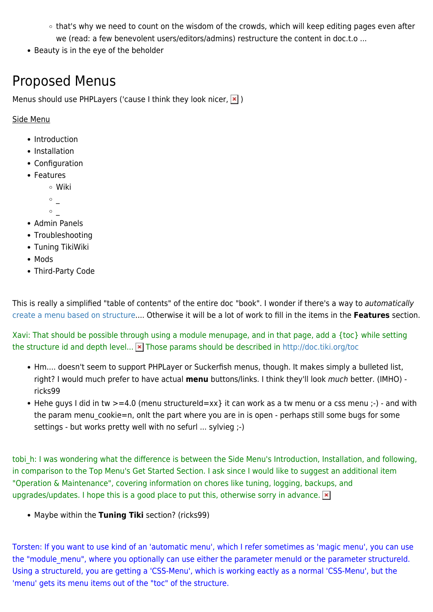- that's why we need to count on the wisdom of the crowds, which will keep editing pages even after we (read: a few benevolent users/editors/admins) restructure the content in doc.t.o ...
- Beauty is in the eye of the beholder

### Proposed Menus

Menus should use PHPLayers ('cause I think they look nicer,  $|\mathbf{x}|$ )

### Side Menu

- Introduction
- Installation
- Configuration
- Features
	- Wiki
	- $\circ$  \_
	- $\circ$
- Admin Panels
- Troubleshooting
- Tuning TikiWiki
- Mods
- Third-Party Code

This is really a simplified "table of contents" of the entire doc "book". I wonder if there's a way to automatically [create a menu based on structure](http://dev.tiki.org/wish1045).... Otherwise it will be a lot of work to fill in the items in the **Features** section.

Xavi: That should be possible through using a module menupage, and in that page, add a {toc} while setting the structure id and depth level... **x** Those params should be described in <http://doc.tiki.org/toc>

- Hm.... doesn't seem to support PHPLayer or Suckerfish menus, though. It makes simply a bulleted list, right? I would much prefer to have actual **menu** buttons/links. I think they'll look much better. (IMHO) ricks99
- Hehe guys I did in tw  $>=$  4.0 (menu structureId=xx} it can work as a tw menu or a css menu :-) and with the param menu cookie=n, onlt the part where you are in is open - perhaps still some bugs for some settings - but works pretty well with no sefurl ... sylvieg ;-)

tobi h: I was wondering what the difference is between the Side Menu's Introduction, Installation, and following, in comparison to the Top Menu's Get Started Section. I ask since I would like to suggest an additional item "Operation & Maintenance", covering information on chores like tuning, logging, backups, and upgrades/updates. I hope this is a good place to put this, otherwise sorry in advance.  $\ge$ 

Maybe within the **Tuning Tiki** section? (ricks99)

Torsten: If you want to use kind of an 'automatic menu', which I refer sometimes as 'magic menu', you can use the "module menu", where you optionally can use either the parameter menuId or the parameter structureId. Using a structureId, you are getting a 'CSS-Menu', which is working eactly as a normal 'CSS-Menu', but the 'menu' gets its menu items out of the "toc" of the structure.